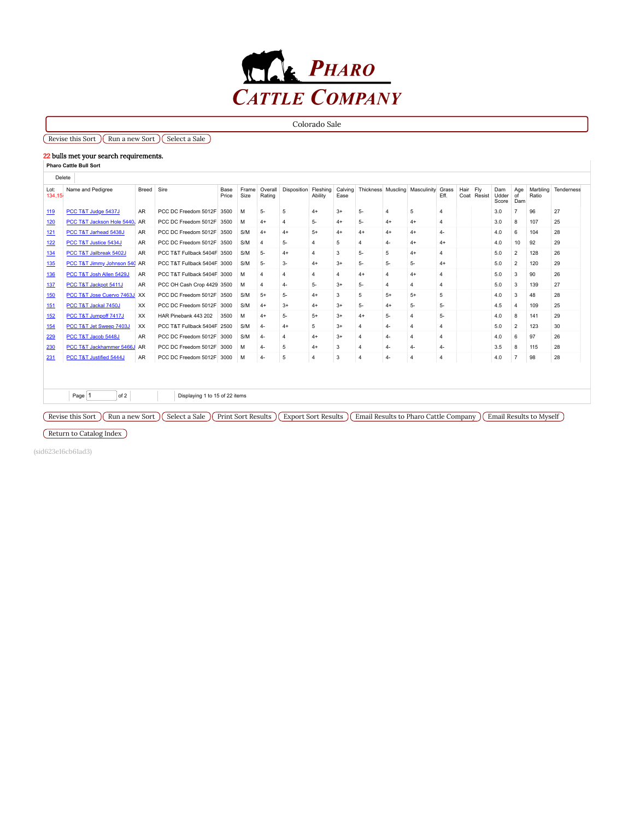

Colorado Sale

# $\sqrt{\text{Reverse this Sort}}$   $\sqrt{\text{Run a new Sort}}$   $\sqrt{\text{Select a Sale}}$

### 22 bulls met your search requirements.

| Lot:<br>134.15 | Name and Pedigree             | Breed     | Sire                        | Base<br>Price | Frame<br>Size | Overall<br>Rating | Disposition Fleshing    | Ability        | Calving<br>Ease |                |       | Thickness Muscling Masculinity Grass | Fff.           | Hair Fly | Coat Resist | Dam<br>Udder<br>Score | Age<br>of<br>Dam | Marbling<br>Ratio | Tenderness |
|----------------|-------------------------------|-----------|-----------------------------|---------------|---------------|-------------------|-------------------------|----------------|-----------------|----------------|-------|--------------------------------------|----------------|----------|-------------|-----------------------|------------------|-------------------|------------|
| 119            | PCC T&T Judge 5437J           | AR        | PCC DC Freedom 5012F        | 3500          | M             | $5-$              | 5                       | $4+$           | $3+$            | $5-$           | 4     | 5                                    | $\overline{4}$ |          |             | 3.0                   |                  | 96                | 27         |
| 120            | PCC T&T Jackson Hole 5440, AR |           | PCC DC Freedom 5012F        | 3500          | M             | $4+$              | $\overline{4}$          | 5-             | $4+$            | $5 -$          | $4+$  | $4+$                                 | $\overline{4}$ |          |             | 3.0                   | 8                | 107               | 25         |
| 121            | PCC T&T Jarhead 5438J         | AR        | PCC DC Freedom 5012F        | 3500          | S/M           | $4+$              | $4+$                    | $5+$           | $4+$            | $4+$           | $4+$  | $4+$                                 | $4-$           |          |             | 4.0                   | 6                | 104               | 28         |
| 122            | PCC T&T Justice 5434J         | AR        | PCC DC Freedom 5012F 3500   |               | S/M           | $\overline{4}$    | 5-                      | $\overline{4}$ | 5               | $\overline{4}$ | $4-$  | $4+$                                 | $4+$           |          |             | 4.0                   | 10               | 92                | 29         |
| 134            | PCC T&T Jailbreak 5402J       | <b>AR</b> | PCC T&T Fullback 5404F 3500 |               | S/M           | $5-$              | $4+$                    | 4              | 3               | $5-$           | 5     | $4+$                                 | $\Delta$       |          |             | 5.0                   | $\overline{2}$   | 128               | 26         |
| 135            | PCC T&T Jimmy Johnson 540 AR  |           | PCC T&T Fullback 5404F 3000 |               | S/M           | $5-$              | $3-$                    | $4+$           | $3+$            | $5-$           | $5 -$ | 5-                                   | $4+$           |          |             | 5.0                   | $\overline{2}$   | 120               | 29         |
| 136            | PCC T&T Josh Allen 5429J      | AR        | PCC T&T Fullback 5404F 3000 |               | M             | $\overline{4}$    | 4                       | 4              | $\overline{4}$  | $4+$           | 4     | $4+$                                 | $\Delta$       |          |             | 5.0                   | 3                | 90                | 26         |
| 137            | PCC T&T Jackpot 5411J         | AR        | PCC OH Cash Crop 4429 3500  |               | M             | $\overline{4}$    | $4-$                    | 5-             | $3+$            | $5 -$          | 4     | 4                                    | $\overline{4}$ |          |             | 5.0                   | 3                | 139               | 27         |
| 150            | PCC T&T Jose Cuervo 7463J XX  |           | PCC DC Freedom 5012F 3500   |               | S/M           | $5+$              | $5-$                    | $4+$           | 3               | 5              | $5+$  | $5+$                                 | 5              |          |             | 4.0                   | 3                | 48                | 28         |
| 151            | PCC T&T Jackal 7450J          | XX        | PCC DC Freedom 5012F 3000   |               | S/M           | $4+$              | $3+$                    | $4+$           | $3+$            | $5-$           | $4+$  | $5-$                                 | 5-             |          |             | 4.5                   | $\boldsymbol{A}$ | 109               | 25         |
| 152            | PCC T&T Jumpoff 7417J         | XX.       | HAR Pinebank 443 202        | 3500          | M             | $4+$              | 5-                      | $5+$           | $3+$            | $4+$           | 5-    | $\overline{a}$                       | 5-             |          |             | 4.0                   | 8                | 141               | 29         |
| 154            | PCC T&T Jet Sweep 7403J       | XX        | PCC T&T Fullback 5404F 2500 |               | S/M           | $4-$              | $4+$                    | 5              | $3+$            | $\overline{a}$ | 4-    | $\overline{a}$                       | $\Delta$       |          |             | 5.0                   | $\overline{2}$   | 123               | 30         |
| 229            | PCC T&T Jacob 5448J           | <b>AR</b> | PCC DC Freedom 5012F        | 3000          | S/M           | $4-$              | $\overline{\mathbf{4}}$ | $4+$           | $3+$            | $\overline{a}$ | $4-$  |                                      | $\overline{4}$ |          |             | 4.0                   | 6                | 97                | 26         |
| 230            | PCC T&T Jackhammer 5466J AR   |           | PCC DC Freedom 5012F        | 3000          | M             | $4-$              | 5                       | $4+$           | 3               | $\overline{4}$ | $4-$  | $4-$                                 | 4-             |          |             | 3.5                   | 8                | 115               | 28         |
| 231            | PCC T&T Justified 5444J       | <b>AR</b> | PCC DC Freedom 5012F        | 3000          | M             | $4-$              | 5                       | $\overline{4}$ | 3               | $\overline{4}$ | $4-$  | $\overline{4}$                       | $\overline{4}$ |          |             | 4.0                   | $\overline{7}$   | 98                | 28         |

Revise this Sort  $(\overline{\text{Run a new Sort}})$  (Select a Sale  $(\overline{\text{Print Sort Results}})$  $(\overline{\text{Print Sort Results}})$  $(\overline{\text{Print Sort Results}})$  Export Sort Results  $(\overline{\text{Email Results to Pharo Cattle Company}})$  Email Results to Myself

Return to [Catalog](https://pharocattle.com/fall-sales/) Index

(sid623e16cb61ad3)